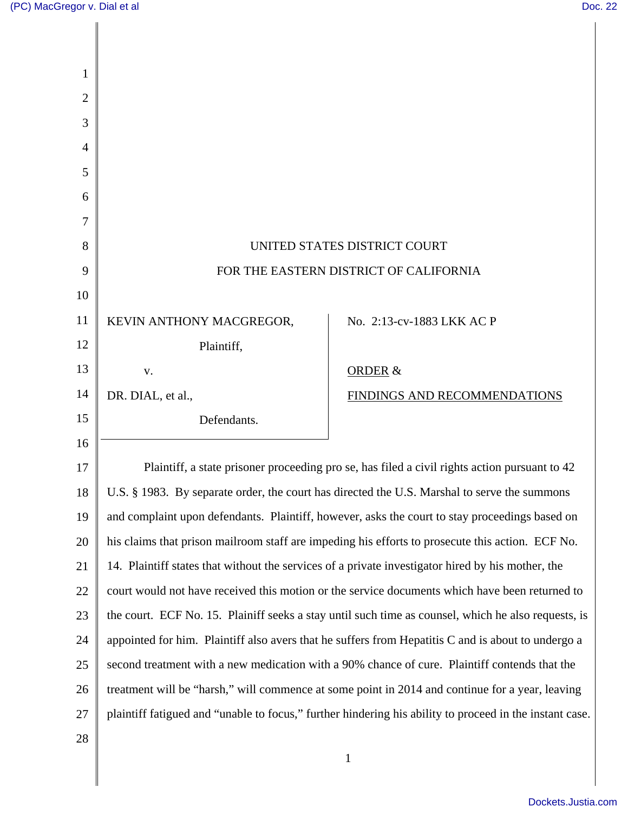| $\overline{2}$ |                                                                                              |                                                                                                         |
|----------------|----------------------------------------------------------------------------------------------|---------------------------------------------------------------------------------------------------------|
| 3              |                                                                                              |                                                                                                         |
| 4              |                                                                                              |                                                                                                         |
| 5              |                                                                                              |                                                                                                         |
| 6              |                                                                                              |                                                                                                         |
| 7              |                                                                                              |                                                                                                         |
| 8              | UNITED STATES DISTRICT COURT                                                                 |                                                                                                         |
| 9              |                                                                                              | FOR THE EASTERN DISTRICT OF CALIFORNIA                                                                  |
| 10             |                                                                                              |                                                                                                         |
| 11             | KEVIN ANTHONY MACGREGOR,                                                                     | No. 2:13-cv-1883 LKK AC P                                                                               |
| 12             | Plaintiff,                                                                                   |                                                                                                         |
| 13             | ${\bf V}$ .                                                                                  | <b>ORDER &amp;</b>                                                                                      |
| 14             | DR. DIAL, et al.,                                                                            | FINDINGS AND RECOMMENDATIONS                                                                            |
| 15             | Defendants.                                                                                  |                                                                                                         |
| 16             |                                                                                              |                                                                                                         |
| 17             |                                                                                              | Plaintiff, a state prisoner proceeding pro se, has filed a civil rights action pursuant to 42           |
| 18             | U.S. § 1983. By separate order, the court has directed the U.S. Marshal to serve the summons |                                                                                                         |
| 19             |                                                                                              | and complaint upon defendants. Plaintiff, however, asks the court to stay proceedings based on          |
| 20             |                                                                                              | his claims that prison mailroom staff are impeding his efforts to prosecute this action. ECF No.        |
| 21             |                                                                                              | 14. Plaintiff states that without the services of a private investigator hired by his mother, the       |
| 22             |                                                                                              | court would not have received this motion or the service documents which have been returned to          |
| 23             |                                                                                              | the court. ECF No. 15. Plainiff seeks a stay until such time as counsel, which he also requests, is     |
| 24             |                                                                                              | appointed for him. Plaintiff also avers that he suffers from Hepatitis C and is about to undergo a      |
| 25             |                                                                                              | second treatment with a new medication with a 90% chance of cure. Plaintiff contends that the           |
| 26             |                                                                                              | treatment will be "harsh," will commence at some point in 2014 and continue for a year, leaving         |
| 27             |                                                                                              | plaintiff fatigued and "unable to focus," further hindering his ability to proceed in the instant case. |
| 28             |                                                                                              |                                                                                                         |
|                |                                                                                              | 1                                                                                                       |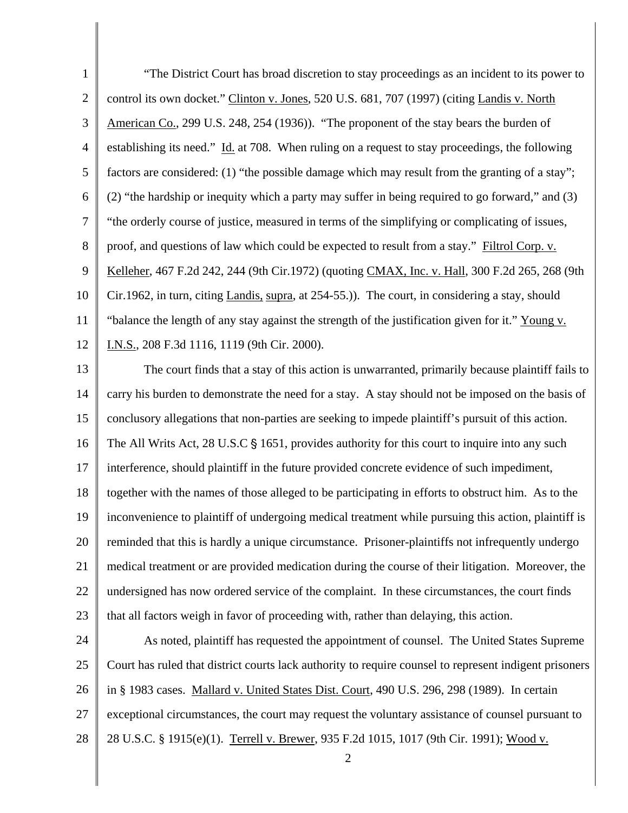| $\mathbf{1}$   | "The District Court has broad discretion to stay proceedings as an incident to its power to            |
|----------------|--------------------------------------------------------------------------------------------------------|
| 2              | control its own docket." Clinton v. Jones, 520 U.S. 681, 707 (1997) (citing Landis v. North            |
| 3              | American Co., 299 U.S. 248, 254 (1936)). "The proponent of the stay bears the burden of                |
| $\overline{4}$ | establishing its need." Id. at 708. When ruling on a request to stay proceedings, the following        |
| 5              | factors are considered: (1) "the possible damage which may result from the granting of a stay";        |
| 6              | (2) "the hardship or inequity which a party may suffer in being required to go forward," and (3)       |
| 7              | "the orderly course of justice, measured in terms of the simplifying or complicating of issues,        |
| $8\phantom{.}$ | proof, and questions of law which could be expected to result from a stay." Filtrol Corp. v.           |
| 9              | Kelleher, 467 F.2d 242, 244 (9th Cir.1972) (quoting CMAX, Inc. v. Hall, 300 F.2d 265, 268 (9th         |
| 10             | Cir.1962, in turn, citing Landis, supra, at 254-55.). The court, in considering a stay, should         |
| 11             | "balance the length of any stay against the strength of the justification given for it." Young v.      |
| 12             | I.N.S., 208 F.3d 1116, 1119 (9th Cir. 2000).                                                           |
| 13             | The court finds that a stay of this action is unwarranted, primarily because plaintiff fails to        |
| 14             | carry his burden to demonstrate the need for a stay. A stay should not be imposed on the basis of      |
| 15             | conclusory allegations that non-parties are seeking to impede plaintiff's pursuit of this action.      |
| 16             | The All Writs Act, 28 U.S.C § 1651, provides authority for this court to inquire into any such         |
| 17             | interference, should plaintiff in the future provided concrete evidence of such impediment,            |
| 18             | together with the names of those alleged to be participating in efforts to obstruct him. As to the     |
| 19             | inconvenience to plaintiff of undergoing medical treatment while pursuing this action, plaintiff is    |
| 20             | reminded that this is hardly a unique circumstance. Prisoner-plaintiffs not infrequently undergo       |
| 21             | medical treatment or are provided medication during the course of their litigation. Moreover, the      |
| 22             | undersigned has now ordered service of the complaint. In these circumstances, the court finds          |
| 23             | that all factors weigh in favor of proceeding with, rather than delaying, this action.                 |
| 24             | As noted, plaintiff has requested the appointment of counsel. The United States Supreme                |
| 25             | Court has ruled that district courts lack authority to require counsel to represent indigent prisoners |
| 26             | in § 1983 cases. Mallard v. United States Dist. Court, 490 U.S. 296, 298 (1989). In certain            |
| 27             | exceptional circumstances, the court may request the voluntary assistance of counsel pursuant to       |

28 28 U.S.C. § 1915(e)(1). Terrell v. Brewer, 935 F.2d 1015, 1017 (9th Cir. 1991); Wood v.